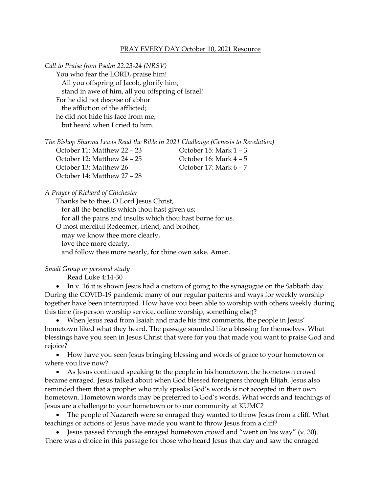## PRAY EVERY DAY October 10, 2021 Resource

*Call to Praise from Psalm 22:23-24 (NRSV)* You who fear the LORD, praise him! All you offspring of Jacob, glorify him; stand in awe of him, all you offspring of Israel! For he did not despise of abhor the affliction of the afflicted; he did not hide his face from me, but heard when I cried to him.

| The Bishop Sharma Lewis Read the Bible in 2021 Challenge (Genesis to Revelation) |  |  |  |  |  |
|----------------------------------------------------------------------------------|--|--|--|--|--|
|----------------------------------------------------------------------------------|--|--|--|--|--|

October 12: Matthew 24 – 25 October 16: Mark 4 – 5 October 13: Matthew 26 Corober 17: Mark 6 – 7 October 14: Matthew 27 – 28

October 11: Matthew 22 – 23 October 15: Mark 1 – 3

*A Prayer of Richard of Chichester*

Thanks be to thee, O Lord Jesus Christ, for all the benefits which thou hast given us; for all the pains and insults which thou hast borne for us. O most merciful Redeemer, friend, and brother, may we know thee more clearly, love thee more dearly, and follow thee more nearly, for thine own sake. Amen.

*Small Group or personal study*

Read Luke 4:14-30

• In v. 16 it is shown Jesus had a custom of going to the synagogue on the Sabbath day. During the COVID-19 pandemic many of our regular patterns and ways for weekly worship together have been interrupted. How have you been able to worship with others weekly during this time (in-person worship service, online worship, something else)?

• When Jesus read from Isaiah and made his first comments, the people in Jesus' hometown liked what they heard. The passage sounded like a blessing for themselves. What blessings have you seen in Jesus Christ that were for you that made you want to praise God and rejoice?

• How have you seen Jesus bringing blessing and words of grace to your hometown or where you live now?

• As Jesus continued speaking to the people in his hometown, the hometown crowd became enraged. Jesus talked about when God blessed foreigners through Elijah. Jesus also reminded them that a prophet who truly speaks God's words is not accepted in their own hometown. Hometown words may be preferred to God's words. What words and teachings of Jesus are a challenge to your hometown or to our community at KUMC?

• The people of Nazareth were so enraged they wanted to throw Jesus from a cliff. What teachings or actions of Jesus have made you want to throw Jesus from a cliff?

• Jesus passed through the enraged hometown crowd and "went on his way" (v. 30). There was a choice in this passage for those who heard Jesus that day and saw the enraged